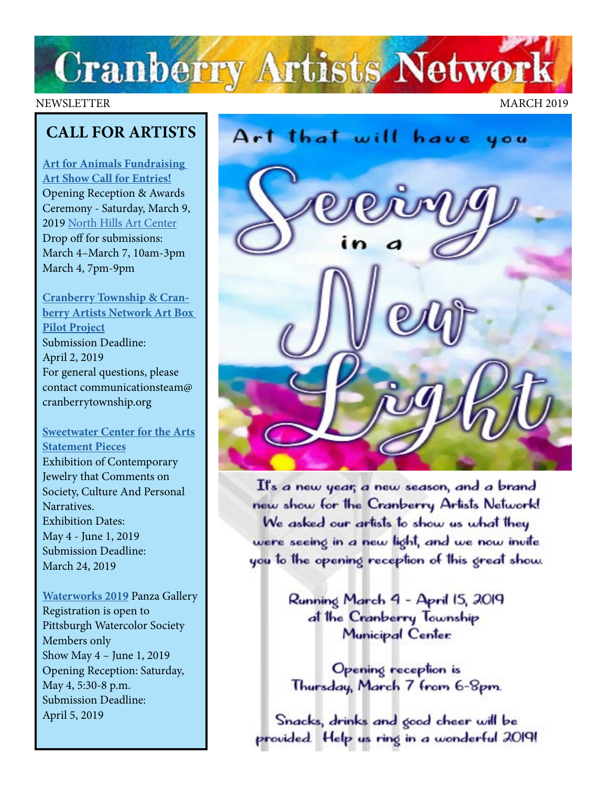# **Cranberry Artists Network**

#### NEWSLETTER MARCH 2019

## **CALL FOR ARTISTS**

**[Art for Animals Fundraising](http://northhillsartcenter.com/Call%20For%20Entries_%20Art%20for%20Animals%202019.pdf)  [Art Show Call for Entries!](http://northhillsartcenter.com/Call%20For%20Entries_%20Art%20for%20Animals%202019.pdf)** Opening Reception & Awards Ceremony - Saturday, March 9, 2019 [North Hills Art Center](http://www.northhillsartcenter.org/) Drop off for submissions: March 4–March 7, 10am-3pm March 4, 7pm-9pm

**[Cranberry Township & Cran](http://www.CranberryTownship.org/ArtBox) [berry Artists Network Art Box](http://www.CranberryTownship.org/ArtBox)  [Pilot Project](http://www.CranberryTownship.org/ArtBox)** Submission Deadline: April 2, 2019 For general questions, please contact communicationsteam@ cranberrytownship.org

### **[Sweetwater Center for the Arts](http://sweetwaterartcenter.org/call_for_artists/statement-pieces/) [Statement Pieces](http://sweetwaterartcenter.org/call_for_artists/statement-pieces/)**

Exhibition of Contemporary Jewelry that Comments on Society, Culture And Personal Narratives. Exhibition Dates: May 4 - June 1, 2019 Submission Deadline: March 24, 2019

**[Waterworks 2019](https://www.pittsburghwatercolorsociety.com/Waterworks)** Panza Gallery Registration is open to Pittsburgh Watercolor Society Members only Show May 4 – June 1, 2019 Opening Reception: Saturday, May 4, 5:30-8 p.m. Submission Deadline: April 5, 2019



It's a new year, a new season, and a brand new show for the Cranberry Artists Network! We asked our artists to show us what they were seeing in a new light, and we now invite you to the opening reception of this great show.

> Running March 4 - April 15, 2019 at the Cranberry Township Municipal Center:

Opening reception is Thursday, March 7 from 6-8pm.

Snacks, drinks and good cheer will be provided. Help us ring in a wonderful 2019!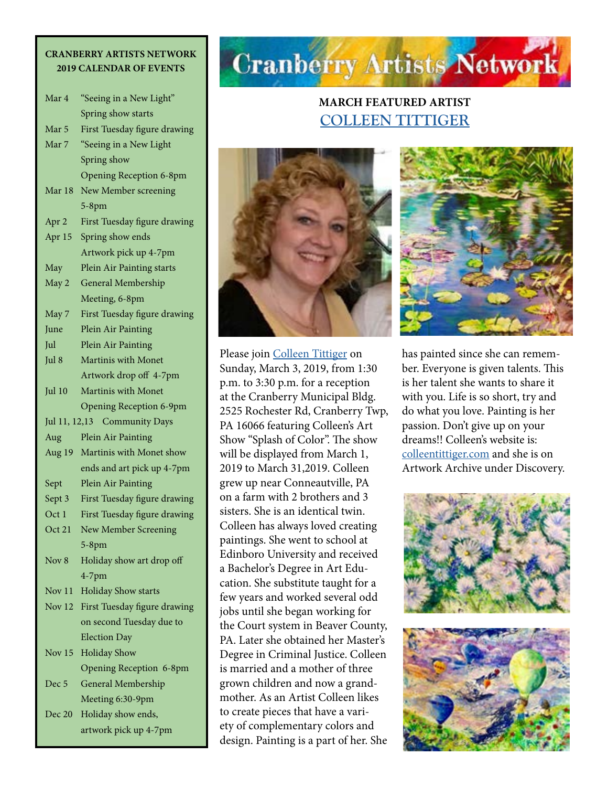#### **CRANBERRY ARTISTS NETWORK 2019 CALENDAR OF EVENTS**

| Mar 4                                  | "Seeing in a New Light"        |  |
|----------------------------------------|--------------------------------|--|
|                                        | Spring show starts             |  |
| Mar 5                                  | First Tuesday figure drawing   |  |
| Mar 7                                  | "Seeing in a New Light         |  |
|                                        | Spring show                    |  |
|                                        | <b>Opening Reception 6-8pm</b> |  |
| Mar 18                                 | New Member screening           |  |
|                                        | $5-8$ pm                       |  |
| Apr 2                                  | First Tuesday figure drawing   |  |
| Apr 15                                 | Spring show ends               |  |
|                                        | Artwork pick up 4-7pm          |  |
| May                                    | Plein Air Painting starts      |  |
| May 2                                  | General Membership             |  |
|                                        | Meeting, 6-8pm                 |  |
| May 7                                  | First Tuesday figure drawing   |  |
| June                                   | Plein Air Painting             |  |
| Jul                                    | Plein Air Painting             |  |
| Jul 8                                  | Martinis with Monet            |  |
|                                        | Artwork drop off 4-7pm         |  |
| Jul 10                                 | <b>Martinis with Monet</b>     |  |
|                                        | <b>Opening Reception 6-9pm</b> |  |
| Jul 11, 12,13<br><b>Community Days</b> |                                |  |
| Aug                                    | Plein Air Painting             |  |
| Aug 19                                 | Martinis with Monet show       |  |
|                                        | ends and art pick up 4-7pm     |  |
|                                        | Plein Air Painting             |  |
| Sept                                   |                                |  |
| Sept 3                                 | First Tuesday figure drawing   |  |
| Oct 1                                  | First Tuesday figure drawing   |  |
| Oct 21                                 | New Member Screening           |  |
|                                        | $5-8$ pm                       |  |
| Nov 8                                  | Holiday show art drop off      |  |
|                                        | $4-7$ pm                       |  |
| Nov 11                                 | <b>Holiday Show starts</b>     |  |
| Nov $12$                               | First Tuesday figure drawing   |  |
|                                        | on second Tuesday due to       |  |
|                                        | <b>Election Day</b>            |  |
| Nov <sub>15</sub>                      | <b>Holiday Show</b>            |  |
|                                        | Opening Reception 6-8pm        |  |
| Dec <sub>5</sub>                       | General Membership             |  |
|                                        | Meeting 6:30-9pm               |  |
| Dec 20                                 | Holiday show ends,             |  |

## **Cranberry Artists Network**

## **MARCH FEATURED ARTIST [COLLEEN TITTIGER](http://colleentittiger.com)**



Please join [Colleen Tittiger](http://colleentittiger.com) on Sunday, March 3, 2019, from 1:30 p.m. to 3:30 p.m. for a reception at the Cranberry Municipal Bldg. 2525 Rochester Rd, Cranberry Twp, PA 16066 featuring Colleen's Art Show "Splash of Color". The show will be displayed from March 1, 2019 to March 31,2019. Colleen grew up near Conneautville, PA on a farm with 2 brothers and 3 sisters. She is an identical twin. Colleen has always loved creating paintings. She went to school at Edinboro University and received a Bachelor's Degree in Art Education. She substitute taught for a few years and worked several odd jobs until she began working for the Court system in Beaver County, PA. Later she obtained her Master's Degree in Criminal Justice. Colleen is married and a mother of three grown children and now a grandmother. As an Artist Colleen likes to create pieces that have a variety of complementary colors and design. Painting is a part of her. She



has painted since she can remember. Everyone is given talents. This is her talent she wants to share it with you. Life is so short, try and do what you love. Painting is her passion. Don't give up on your dreams!! Colleen's website is: [colleentittiger.com](http://colleentittiger.com) and she is on Artwork Archive under Discovery.

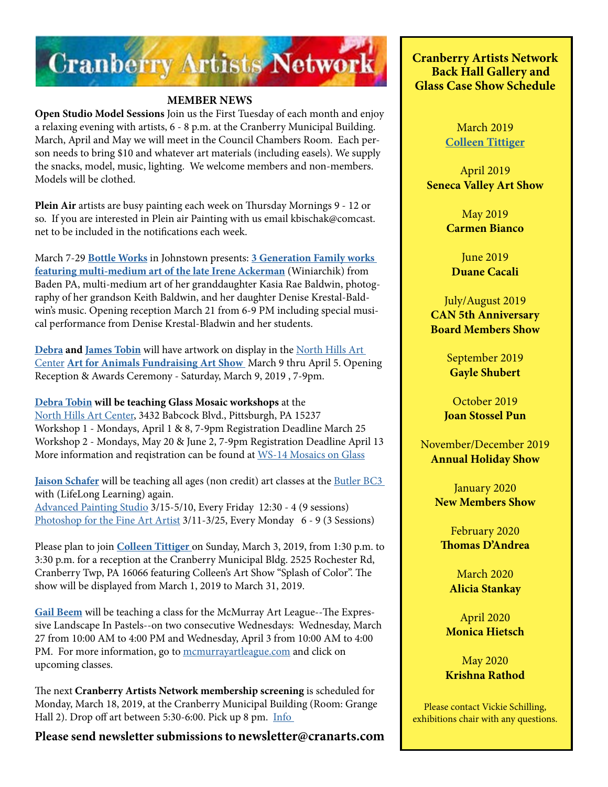

#### **MEMBER NEWS**

**Open Studio Model Sessions** Join us the First Tuesday of each month and enjoy a relaxing evening with artists, 6 - 8 p.m. at the Cranberry Municipal Building. March, April and May we will meet in the Council Chambers Room. Each person needs to bring \$10 and whatever art materials (including easels). We supply the snacks, model, music, lighting. We welcome members and non-members. Models will be clothed.

**Plein Air** artists are busy painting each week on Thursday Mornings 9 - 12 or so. If you are interested in Plein air Painting with us email kbischak@comcast. net to be included in the notifications each week.

March 7-29 **[Bottle Works](http://bottleworks.org/ackerman-baldwin-3-generation-family-works/)** in Johnstown presents: **[3 Generation Family works](http://bottleworks.org/ackerman-baldwin-3-generation-family-works/)  [featuring multi-medium art of the late Irene Ackerman](http://bottleworks.org/ackerman-baldwin-3-generation-family-works/)** (Winiarchik) from Baden PA, multi-medium art of her granddaughter Kasia Rae Baldwin, photography of her grandson Keith Baldwin, and her daughter Denise Krestal-Baldwin's music. Opening reception March 21 from 6-9 PM including special musical performance from Denise Krestal-Bladwin and her students.

**[Debra](http://www.debratobinart.com/) and [James Tobin](https://jamestobinart.com/)** will have artwork on display in the [North Hills Art](http://northhillsartcenter.com/index.html)  [Center](http://northhillsartcenter.com/index.html) **[Art for Animals Fundraising Art Show](http://northhillsartcenter.com/Call%20For%20Entries_%20Art%20for%20Animals%202019.pdf)** March 9 thru April 5. Opening Reception & Awards Ceremony - Saturday, March 9, 2019 , 7-9pm.

**[Debra Tobin](http://www.debratobinart.com/) will be teaching Glass Mosaic workshops** at the [North Hills Art Center,](http://northhillsartcenter.com/index.html) 3432 Babcock Blvd., Pittsburgh, PA 15237 Workshop 1 - Mondays, April 1 & 8, 7-9pm Registration Deadline March 25 Workshop 2 - Mondays, May 20 & June 2, 7-9pm Registration Deadline April 13 More information and reqistration can be found at [WS-14 Mosaics on Glass](https://shop.northhillsartcenter.com/product.sc?productId=37&categoryId=21)

**[Jaison Schafer](http://www.jaisonschafer.com/)** will be teaching all ages (non credit) art classes at the **Butler BC3** with (LifeLong Learning) again. [Advanced Painting Studio](https://www.bc3.edu/programs-classes/classes/art-music/art/advanced-painting-studio.html) 3/15-5/10, Every Friday 12:30 - 4 (9 sessions) [Photoshop for the Fine Art Artist](https://www.bc3.edu/programs-classes/classes/art-music/art/photoshop-fine-arts-artist.html) 3/11-3/25, Every Monday 6 - 9 (3 Sessions)

Please plan to join **[Colleen Tittiger](https://www.colleentittiger.com/)** on Sunday, March 3, 2019, from 1:30 p.m. to 3:30 p.m. for a reception at the Cranberry Municipal Bldg. 2525 Rochester Rd, Cranberry Twp, PA 16066 featuring Colleen's Art Show "Splash of Color". The show will be displayed from March 1, 2019 to March 31, 2019.

**[Gail Beem](https://gailbeem.com/)** will be teaching a class for the McMurray Art League--The Expressive Landscape In Pastels--on two consecutive Wednesdays: Wednesday, March 27 from 10:00 AM to 4:00 PM and Wednesday, April 3 from 10:00 AM to 4:00 PM. For more information, go to [mcmurrayartleague.com](https://www.mcmurrayartleague.com/) and click on upcoming classes.

The next **Cranberry Artists Network membership screening** is scheduled for Monday, March 18, 2019, at the Cranberry Municipal Build[i](https://www.pittsburghsocietyofartists.org/event-3177564?CalendarViewType=1&SelectedDate=3/27/2019)ng (Room: Grange Hall 2). Drop off art between 5:30-6:00. Pick up 8 pm. [Info](https://www.cranberryartistsnetwork.com/membership) 

**Please send newsletter submissions tonewsletter@cranarts.com**

**Cranberry Artists Network Back Hall Gallery and Glass Case Show Schedule** 

> March 2019 **[Colleen Tittiger](https://www.colleentittiger.com/)**

April 2019 **Seneca Valley Art Show**

> May 2019 **Carmen Bianco**

June 2019 **Duane Cacali**

July/August 2019 **CAN 5th Anniversary Board Members Show**

> September 2019 **Gayle Shubert**

October 2019 **Joan Stossel Pun**

November/December 2019 **Annual Holiday Show**

> January 2020 **New Members Show**

February 2020 **Thomas D'Andrea**

March 2020 **Alicia Stankay**

April 2020 **Monica Hietsch**

May 2020 **Krishna Rathod**

Please contact Vickie Schilling, exhibitions chair with any questions.